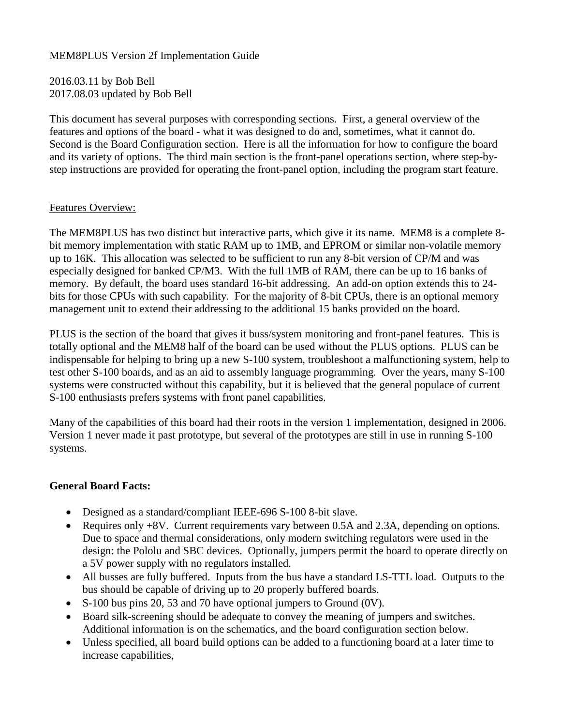## MEM8PLUS Version 2f Implementation Guide

2016.03.11 by Bob Bell 2017.08.03 updated by Bob Bell

This document has several purposes with corresponding sections. First, a general overview of the features and options of the board - what it was designed to do and, sometimes, what it cannot do. Second is the Board Configuration section. Here is all the information for how to configure the board and its variety of options. The third main section is the front-panel operations section, where step-bystep instructions are provided for operating the front-panel option, including the program start feature.

## Features Overview:

The MEM8PLUS has two distinct but interactive parts, which give it its name. MEM8 is a complete 8 bit memory implementation with static RAM up to 1MB, and EPROM or similar non-volatile memory up to 16K. This allocation was selected to be sufficient to run any 8-bit version of CP/M and was especially designed for banked CP/M3. With the full 1MB of RAM, there can be up to 16 banks of memory. By default, the board uses standard 16-bit addressing. An add-on option extends this to 24 bits for those CPUs with such capability. For the majority of 8-bit CPUs, there is an optional memory management unit to extend their addressing to the additional 15 banks provided on the board.

PLUS is the section of the board that gives it buss/system monitoring and front-panel features. This is totally optional and the MEM8 half of the board can be used without the PLUS options. PLUS can be indispensable for helping to bring up a new S-100 system, troubleshoot a malfunctioning system, help to test other S-100 boards, and as an aid to assembly language programming. Over the years, many S-100 systems were constructed without this capability, but it is believed that the general populace of current S-100 enthusiasts prefers systems with front panel capabilities.

Many of the capabilities of this board had their roots in the version 1 implementation, designed in 2006. Version 1 never made it past prototype, but several of the prototypes are still in use in running S-100 systems.

## **General Board Facts:**

- Designed as a standard/compliant IEEE-696 S-100 8-bit slave.
- Requires only +8V. Current requirements vary between 0.5A and 2.3A, depending on options. Due to space and thermal considerations, only modern switching regulators were used in the design: the Pololu and SBC devices. Optionally, jumpers permit the board to operate directly on a 5V power supply with no regulators installed.
- All busses are fully buffered. Inputs from the bus have a standard LS-TTL load. Outputs to the bus should be capable of driving up to 20 properly buffered boards.
- $\bullet$  S-100 bus pins 20, 53 and 70 have optional jumpers to Ground (0V).
- Board silk-screening should be adequate to convey the meaning of jumpers and switches. Additional information is on the schematics, and the board configuration section below.
- Unless specified, all board build options can be added to a functioning board at a later time to increase capabilities,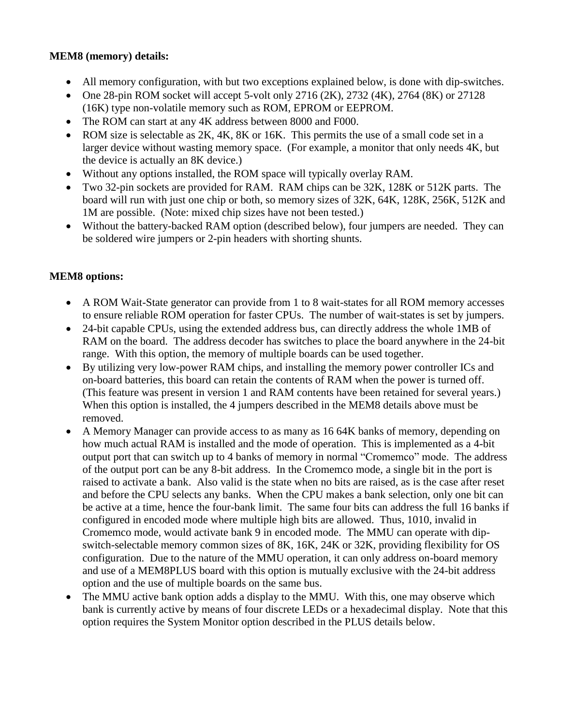## **MEM8 (memory) details:**

- All memory configuration, with but two exceptions explained below, is done with dip-switches.
- One 28-pin ROM socket will accept 5-volt only 2716  $(2K)$ , 2732  $(4K)$ , 2764  $(8K)$  or 27128 (16K) type non-volatile memory such as ROM, EPROM or EEPROM.
- The ROM can start at any 4K address between 8000 and F000.
- ROM size is selectable as 2K, 4K, 8K or 16K. This permits the use of a small code set in a larger device without wasting memory space. (For example, a monitor that only needs 4K, but the device is actually an 8K device.)
- Without any options installed, the ROM space will typically overlay RAM.
- Two 32-pin sockets are provided for RAM. RAM chips can be 32K, 128K or 512K parts. The board will run with just one chip or both, so memory sizes of 32K, 64K, 128K, 256K, 512K and 1M are possible. (Note: mixed chip sizes have not been tested.)
- Without the battery-backed RAM option (described below), four jumpers are needed. They can be soldered wire jumpers or 2-pin headers with shorting shunts.

# **MEM8 options:**

- A ROM Wait-State generator can provide from 1 to 8 wait-states for all ROM memory accesses to ensure reliable ROM operation for faster CPUs. The number of wait-states is set by jumpers.
- 24-bit capable CPUs, using the extended address bus, can directly address the whole 1MB of RAM on the board. The address decoder has switches to place the board anywhere in the 24-bit range. With this option, the memory of multiple boards can be used together.
- By utilizing very low-power RAM chips, and installing the memory power controller ICs and on-board batteries, this board can retain the contents of RAM when the power is turned off. (This feature was present in version 1 and RAM contents have been retained for several years.) When this option is installed, the 4 jumpers described in the MEM8 details above must be removed.
- A Memory Manager can provide access to as many as 16 64K banks of memory, depending on how much actual RAM is installed and the mode of operation. This is implemented as a 4-bit output port that can switch up to 4 banks of memory in normal "Cromemco" mode. The address of the output port can be any 8-bit address. In the Cromemco mode, a single bit in the port is raised to activate a bank. Also valid is the state when no bits are raised, as is the case after reset and before the CPU selects any banks. When the CPU makes a bank selection, only one bit can be active at a time, hence the four-bank limit. The same four bits can address the full 16 banks if configured in encoded mode where multiple high bits are allowed. Thus, 1010, invalid in Cromemco mode, would activate bank 9 in encoded mode. The MMU can operate with dipswitch-selectable memory common sizes of 8K, 16K, 24K or 32K, providing flexibility for OS configuration. Due to the nature of the MMU operation, it can only address on-board memory and use of a MEM8PLUS board with this option is mutually exclusive with the 24-bit address option and the use of multiple boards on the same bus.
- The MMU active bank option adds a display to the MMU. With this, one may observe which bank is currently active by means of four discrete LEDs or a hexadecimal display. Note that this option requires the System Monitor option described in the PLUS details below.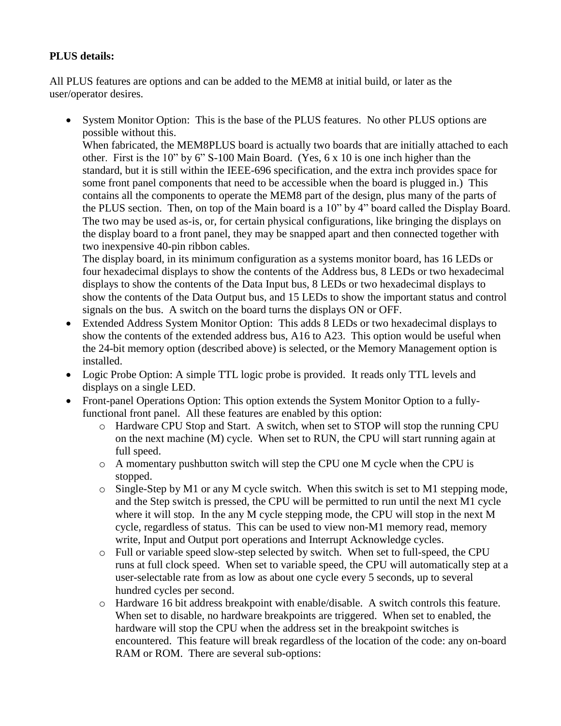# **PLUS details:**

All PLUS features are options and can be added to the MEM8 at initial build, or later as the user/operator desires.

• System Monitor Option: This is the base of the PLUS features. No other PLUS options are possible without this.

When fabricated, the MEM8PLUS board is actually two boards that are initially attached to each other. First is the 10" by 6" S-100 Main Board. (Yes, 6 x 10 is one inch higher than the standard, but it is still within the IEEE-696 specification, and the extra inch provides space for some front panel components that need to be accessible when the board is plugged in.) This contains all the components to operate the MEM8 part of the design, plus many of the parts of the PLUS section. Then, on top of the Main board is a 10" by 4" board called the Display Board. The two may be used as-is, or, for certain physical configurations, like bringing the displays on the display board to a front panel, they may be snapped apart and then connected together with two inexpensive 40-pin ribbon cables.

The display board, in its minimum configuration as a systems monitor board, has 16 LEDs or four hexadecimal displays to show the contents of the Address bus, 8 LEDs or two hexadecimal displays to show the contents of the Data Input bus, 8 LEDs or two hexadecimal displays to show the contents of the Data Output bus, and 15 LEDs to show the important status and control signals on the bus. A switch on the board turns the displays ON or OFF.

- Extended Address System Monitor Option: This adds 8 LEDs or two hexadecimal displays to show the contents of the extended address bus, A16 to A23. This option would be useful when the 24-bit memory option (described above) is selected, or the Memory Management option is installed.
- Logic Probe Option: A simple TTL logic probe is provided. It reads only TTL levels and displays on a single LED.
- Front-panel Operations Option: This option extends the System Monitor Option to a fullyfunctional front panel. All these features are enabled by this option:
	- o Hardware CPU Stop and Start. A switch, when set to STOP will stop the running CPU on the next machine (M) cycle. When set to RUN, the CPU will start running again at full speed.
	- o A momentary pushbutton switch will step the CPU one M cycle when the CPU is stopped.
	- o Single-Step by M1 or any M cycle switch. When this switch is set to M1 stepping mode, and the Step switch is pressed, the CPU will be permitted to run until the next M1 cycle where it will stop. In the any M cycle stepping mode, the CPU will stop in the next M cycle, regardless of status. This can be used to view non-M1 memory read, memory write, Input and Output port operations and Interrupt Acknowledge cycles.
	- o Full or variable speed slow-step selected by switch. When set to full-speed, the CPU runs at full clock speed. When set to variable speed, the CPU will automatically step at a user-selectable rate from as low as about one cycle every 5 seconds, up to several hundred cycles per second.
	- o Hardware 16 bit address breakpoint with enable/disable. A switch controls this feature. When set to disable, no hardware breakpoints are triggered. When set to enabled, the hardware will stop the CPU when the address set in the breakpoint switches is encountered. This feature will break regardless of the location of the code: any on-board RAM or ROM. There are several sub-options: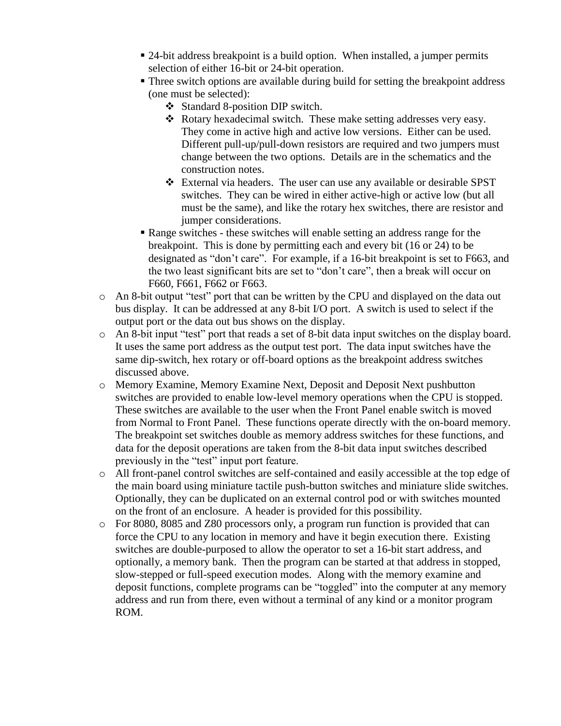- 24-bit address breakpoint is a build option. When installed, a jumper permits selection of either 16-bit or 24-bit operation.
- Three switch options are available during build for setting the breakpoint address (one must be selected):
	- Standard 8-position DIP switch.
	- Rotary hexadecimal switch. These make setting addresses very easy. They come in active high and active low versions. Either can be used. Different pull-up/pull-down resistors are required and two jumpers must change between the two options. Details are in the schematics and the construction notes.
	- External via headers. The user can use any available or desirable SPST switches. They can be wired in either active-high or active low (but all must be the same), and like the rotary hex switches, there are resistor and jumper considerations.
- Range switches these switches will enable setting an address range for the breakpoint. This is done by permitting each and every bit (16 or 24) to be designated as "don't care". For example, if a 16-bit breakpoint is set to F663, and the two least significant bits are set to "don't care", then a break will occur on F660, F661, F662 or F663.
- o An 8-bit output "test" port that can be written by the CPU and displayed on the data out bus display. It can be addressed at any 8-bit I/O port. A switch is used to select if the output port or the data out bus shows on the display.
- o An 8-bit input "test" port that reads a set of 8-bit data input switches on the display board. It uses the same port address as the output test port. The data input switches have the same dip-switch, hex rotary or off-board options as the breakpoint address switches discussed above.
- o Memory Examine, Memory Examine Next, Deposit and Deposit Next pushbutton switches are provided to enable low-level memory operations when the CPU is stopped. These switches are available to the user when the Front Panel enable switch is moved from Normal to Front Panel. These functions operate directly with the on-board memory. The breakpoint set switches double as memory address switches for these functions, and data for the deposit operations are taken from the 8-bit data input switches described previously in the "test" input port feature.
- o All front-panel control switches are self-contained and easily accessible at the top edge of the main board using miniature tactile push-button switches and miniature slide switches. Optionally, they can be duplicated on an external control pod or with switches mounted on the front of an enclosure. A header is provided for this possibility.
- o For 8080, 8085 and Z80 processors only, a program run function is provided that can force the CPU to any location in memory and have it begin execution there. Existing switches are double-purposed to allow the operator to set a 16-bit start address, and optionally, a memory bank. Then the program can be started at that address in stopped, slow-stepped or full-speed execution modes. Along with the memory examine and deposit functions, complete programs can be "toggled" into the computer at any memory address and run from there, even without a terminal of any kind or a monitor program ROM.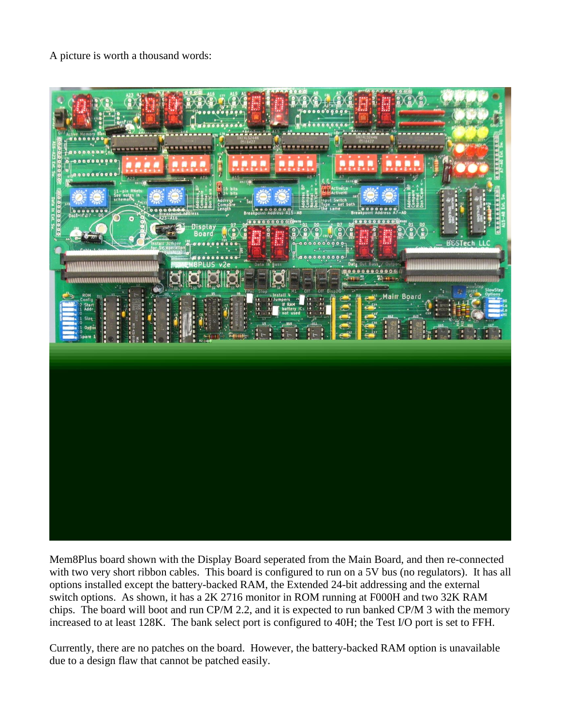A picture is worth a thousand words:



Mem8Plus board shown with the Display Board seperated from the Main Board, and then re-connected with two very short ribbon cables. This board is configured to run on a 5V bus (no regulators). It has all options installed except the battery-backed RAM, the Extended 24-bit addressing and the external switch options. As shown, it has a 2K 2716 monitor in ROM running at F000H and two 32K RAM chips. The board will boot and run CP/M 2.2, and it is expected to run banked CP/M 3 with the memory increased to at least 128K. The bank select port is configured to 40H; the Test I/O port is set to FFH.

Currently, there are no patches on the board. However, the battery-backed RAM option is unavailable due to a design flaw that cannot be patched easily.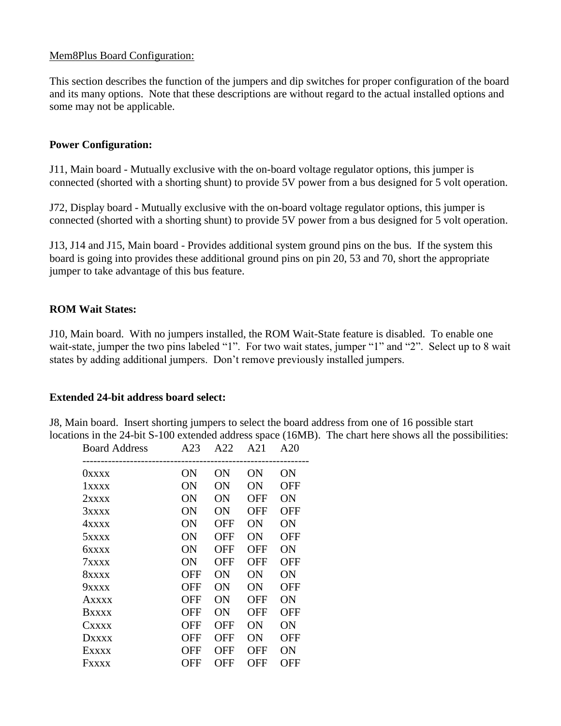### Mem8Plus Board Configuration:

This section describes the function of the jumpers and dip switches for proper configuration of the board and its many options. Note that these descriptions are without regard to the actual installed options and some may not be applicable.

### **Power Configuration:**

J11, Main board - Mutually exclusive with the on-board voltage regulator options, this jumper is connected (shorted with a shorting shunt) to provide 5V power from a bus designed for 5 volt operation.

J72, Display board - Mutually exclusive with the on-board voltage regulator options, this jumper is connected (shorted with a shorting shunt) to provide 5V power from a bus designed for 5 volt operation.

J13, J14 and J15, Main board - Provides additional system ground pins on the bus. If the system this board is going into provides these additional ground pins on pin 20, 53 and 70, short the appropriate jumper to take advantage of this bus feature.

### **ROM Wait States:**

J10, Main board. With no jumpers installed, the ROM Wait-State feature is disabled. To enable one wait-state, jumper the two pins labeled "1". For two wait states, jumper "1" and "2". Select up to 8 wait states by adding additional jumpers. Don't remove previously installed jumpers.

### **Extended 24-bit address board select:**

J8, Main board. Insert shorting jumpers to select the board address from one of 16 possible start locations in the 24-bit S-100 extended address space (16MB). The chart here shows all the possibilities:

| <b>Board Address</b> | A23        | A22 | A21        | A20        |  |
|----------------------|------------|-----|------------|------------|--|
| 0xxxx                | ON         | ON  | ON         | ON         |  |
| 1xxxx                | ON         | ON  | ON         | OFF        |  |
| 2xxx                 | ON         | ON  | OFF        | ON         |  |
| 3xxxx                | ON         | ON  | <b>OFF</b> | <b>OFF</b> |  |
| 4xxxx                | ON         | OFF | ON         | ON         |  |
| $5x$ $xx$            | ON         | OFF | ON         | OFF        |  |
| <b>6xxxx</b>         | ON         | OFF | OFF        | ON         |  |
| 7xxx                 | ON         | OFF | OFF        | OFF        |  |
| 8xxx                 | OFF        | ON  | ON         | ON         |  |
| 9xxx                 | OFF        | ON  | ON         | OFF        |  |
| Axxxx                | OFF        | ON  | OFF        | ON         |  |
| <b>Bxxxx</b>         | OFF        | ON  | OFF        | OFF        |  |
| Cxxxx                | OFF        | OFF | ON         | ON         |  |
| <b>DXXXX</b>         | OFF        | OFF | ON         | OFF        |  |
| Exxxx                | <b>OFF</b> | OFF | OFF        | ON         |  |
| <b>Fxxxx</b>         | OFF        | OFF | <b>OFF</b> | <b>OFF</b> |  |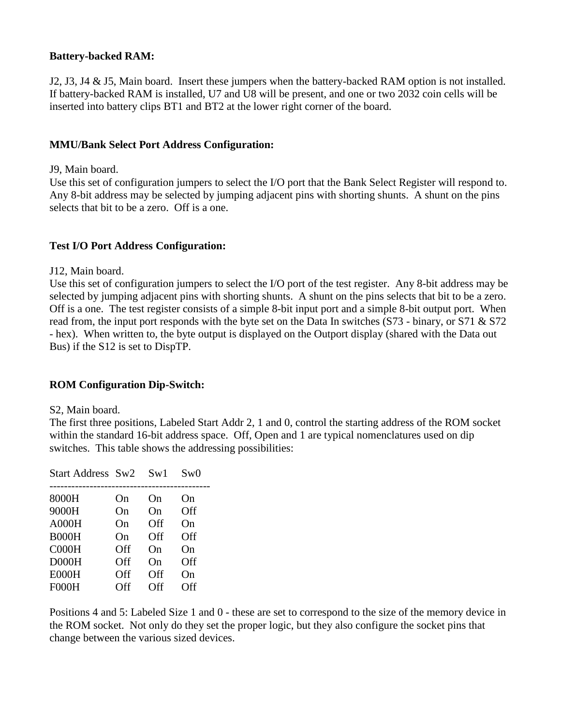## **Battery-backed RAM:**

J2, J3, J4 & J5, Main board. Insert these jumpers when the battery-backed RAM option is not installed. If battery-backed RAM is installed, U7 and U8 will be present, and one or two 2032 coin cells will be inserted into battery clips BT1 and BT2 at the lower right corner of the board.

### **MMU/Bank Select Port Address Configuration:**

#### J9, Main board.

Use this set of configuration jumpers to select the I/O port that the Bank Select Register will respond to. Any 8-bit address may be selected by jumping adjacent pins with shorting shunts. A shunt on the pins selects that bit to be a zero. Off is a one.

### **Test I/O Port Address Configuration:**

J12, Main board.

Use this set of configuration jumpers to select the I/O port of the test register. Any 8-bit address may be selected by jumping adjacent pins with shorting shunts. A shunt on the pins selects that bit to be a zero. Off is a one. The test register consists of a simple 8-bit input port and a simple 8-bit output port. When read from, the input port responds with the byte set on the Data In switches (S73 - binary, or S71 & S72 - hex). When written to, the byte output is displayed on the Outport display (shared with the Data out Bus) if the S12 is set to DispTP.

### **ROM Configuration Dip-Switch:**

#### S2, Main board.

The first three positions, Labeled Start Addr 2, 1 and 0, control the starting address of the ROM socket within the standard 16-bit address space. Off, Open and 1 are typical nomenclatures used on dip switches. This table shows the addressing possibilities:

| Start Address Sw2 |     | Sw1 | Sw0 |
|-------------------|-----|-----|-----|
| 8000H             | On  | On  | On  |
| 9000H             | On  | On  | Off |
| A000H             | On  | Off | On  |
| B000H             | On  | Off | Off |
| COOOH             | Off | On  | On  |
| DOOOH             | Off | On  | Off |
| E000H             | Off | Off | On  |
| FOOOH             | Off | Off | Off |

Positions 4 and 5: Labeled Size 1 and 0 - these are set to correspond to the size of the memory device in the ROM socket. Not only do they set the proper logic, but they also configure the socket pins that change between the various sized devices.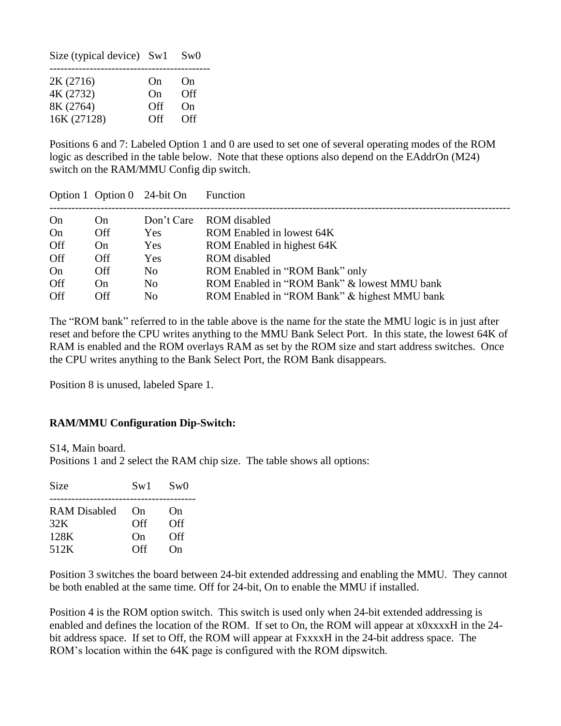| Size (typical device) Sw1 |     | Sw0 |
|---------------------------|-----|-----|
| 2K (2716)                 | On  | On  |
| 4K (2732)                 | On  | Off |
| 8K (2764)                 | Off | On  |
| 16K (27128)               | Off | Off |

Positions 6 and 7: Labeled Option 1 and 0 are used to set one of several operating modes of the ROM logic as described in the table below. Note that these options also depend on the EAddrOn (M24) switch on the RAM/MMU Config dip switch.

|     |            | Option 1 Option 0 24-bit On | Function                                     |
|-----|------------|-----------------------------|----------------------------------------------|
| On  | On         | Don't Care                  | ROM disabled                                 |
| On  | <b>Off</b> | <b>Yes</b>                  | ROM Enabled in lowest 64K                    |
| Off | On         | Yes                         | ROM Enabled in highest 64K                   |
| Off | <b>Off</b> | Yes                         | ROM disabled                                 |
| On  | Off        | N <sub>0</sub>              | ROM Enabled in "ROM Bank" only               |
| Off | On         | N <sub>0</sub>              | ROM Enabled in "ROM Bank" & lowest MMU bank  |
| Off | Off        | N <sub>0</sub>              | ROM Enabled in "ROM Bank" & highest MMU bank |

The "ROM bank" referred to in the table above is the name for the state the MMU logic is in just after reset and before the CPU writes anything to the MMU Bank Select Port. In this state, the lowest 64K of RAM is enabled and the ROM overlays RAM as set by the ROM size and start address switches. Once the CPU writes anything to the Bank Select Port, the ROM Bank disappears.

Position 8 is unused, labeled Spare 1.

### **RAM/MMU Configuration Dip-Switch:**

S14, Main board.

Positions 1 and 2 select the RAM chip size. The table shows all options:

| Size         | Sw1 | Sw0 |
|--------------|-----|-----|
| RAM Disabled | On  | On  |
| 32K          | Off | Off |
| 128K         | On  | Off |
| 512K         | Off | On  |

Position 3 switches the board between 24-bit extended addressing and enabling the MMU. They cannot be both enabled at the same time. Off for 24-bit, On to enable the MMU if installed.

Position 4 is the ROM option switch. This switch is used only when 24-bit extended addressing is enabled and defines the location of the ROM. If set to On, the ROM will appear at x0xxxxH in the 24 bit address space. If set to Off, the ROM will appear at FxxxxH in the 24-bit address space. The ROM's location within the 64K page is configured with the ROM dipswitch.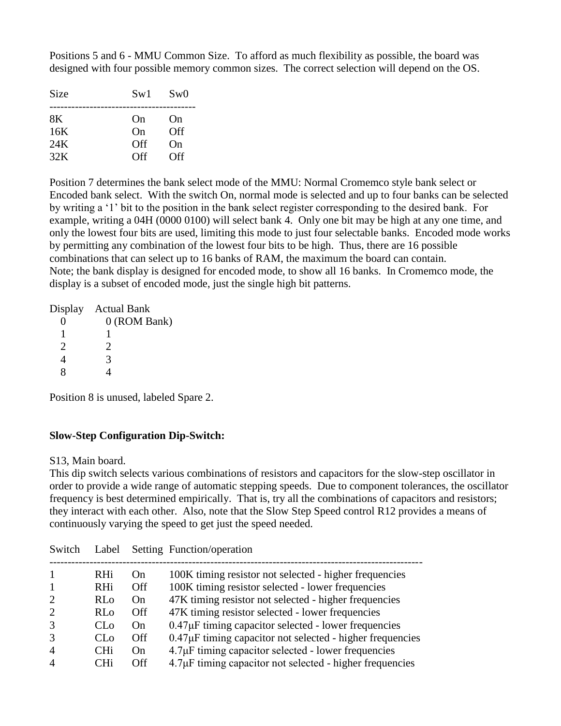Positions 5 and 6 - MMU Common Size. To afford as much flexibility as possible, the board was designed with four possible memory common sizes. The correct selection will depend on the OS.

| Size | Sw1 | Sw0 |
|------|-----|-----|
| 8K   | On  | On  |
| 16K  | On  | Off |
| 24K  | Off | On  |
| 32K  | Off | Off |

Position 7 determines the bank select mode of the MMU: Normal Cromemco style bank select or Encoded bank select. With the switch On, normal mode is selected and up to four banks can be selected by writing a '1' bit to the position in the bank select register corresponding to the desired bank. For example, writing a 04H (0000 0100) will select bank 4. Only one bit may be high at any one time, and only the lowest four bits are used, limiting this mode to just four selectable banks. Encoded mode works by permitting any combination of the lowest four bits to be high. Thus, there are 16 possible combinations that can select up to 16 banks of RAM, the maximum the board can contain. Note; the bank display is designed for encoded mode, to show all 16 banks. In Cromemco mode, the display is a subset of encoded mode, just the single high bit patterns.

|                       | Display Actual Bank |
|-----------------------|---------------------|
|                       | $0$ (ROM Bank)      |
|                       |                     |
| $\mathcal{D}_{\cdot}$ | 2.                  |
| 4                     | 3                   |
|                       |                     |

Position 8 is unused, labeled Spare 2.

### **Slow-Step Configuration Dip-Switch:**

S13, Main board.

This dip switch selects various combinations of resistors and capacitors for the slow-step oscillator in order to provide a wide range of automatic stepping speeds. Due to component tolerances, the oscillator frequency is best determined empirically. That is, try all the combinations of capacitors and resistors; they interact with each other. Also, note that the Slow Step Speed control R12 provides a means of continuously varying the speed to get just the speed needed.

| Switch                      | Label                    |           | Setting Function/operation                                                                                  |
|-----------------------------|--------------------------|-----------|-------------------------------------------------------------------------------------------------------------|
|                             | <b>RHi</b><br><b>RHi</b> | On<br>Off | 100K timing resistor not selected - higher frequencies<br>100K timing resistor selected - lower frequencies |
| $\overline{2}$              | R <sub>0</sub>           | On        | 47K timing resistor not selected - higher frequencies                                                       |
| $\mathcal{D}_{\mathcal{L}}$ | RL <sub>0</sub>          | Off.      | 47K timing resistor selected - lower frequencies                                                            |
| $\mathcal{R}$               | CL <sub>0</sub>          | On        | $0.47\mu$ F timing capacitor selected - lower frequencies                                                   |
| 3                           | CL <sub>0</sub>          | Off       | $0.47\mu$ F timing capacitor not selected - higher frequencies                                              |
| $\overline{A}$              | <b>CH<sub>i</sub></b>    | On        | $4.7\mu$ F timing capacitor selected - lower frequencies                                                    |
| $\overline{A}$              | CHi                      | Off       | $4.7\mu$ F timing capacitor not selected - higher frequencies                                               |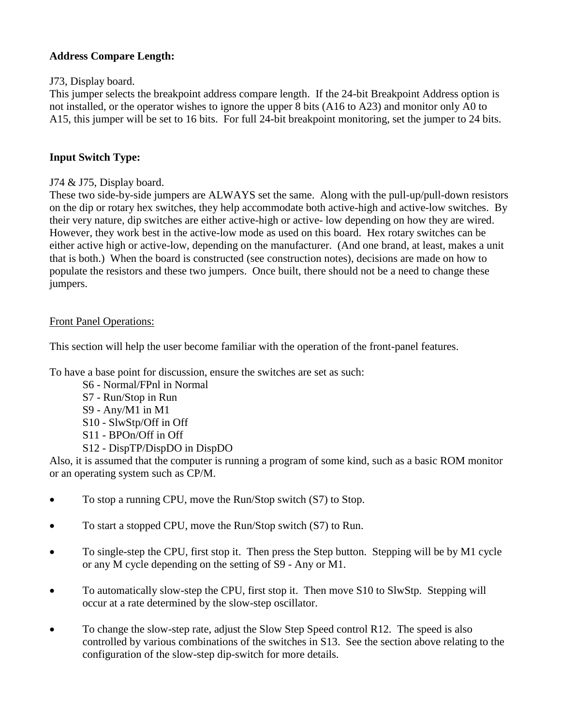## **Address Compare Length:**

## J73, Display board.

This jumper selects the breakpoint address compare length. If the 24-bit Breakpoint Address option is not installed, or the operator wishes to ignore the upper 8 bits (A16 to A23) and monitor only A0 to A15, this jumper will be set to 16 bits. For full 24-bit breakpoint monitoring, set the jumper to 24 bits.

## **Input Switch Type:**

## J74 & J75, Display board.

These two side-by-side jumpers are ALWAYS set the same. Along with the pull-up/pull-down resistors on the dip or rotary hex switches, they help accommodate both active-high and active-low switches. By their very nature, dip switches are either active-high or active- low depending on how they are wired. However, they work best in the active-low mode as used on this board. Hex rotary switches can be either active high or active-low, depending on the manufacturer. (And one brand, at least, makes a unit that is both.) When the board is constructed (see construction notes), decisions are made on how to populate the resistors and these two jumpers. Once built, there should not be a need to change these jumpers.

## Front Panel Operations:

This section will help the user become familiar with the operation of the front-panel features.

To have a base point for discussion, ensure the switches are set as such:

S6 - Normal/FPnl in Normal S7 - Run/Stop in Run S9 - Any/M1 in M1 S10 - SlwStp/Off in Off S11 - BPOn/Off in Off S12 - DispTP/DispDO in DispDO

Also, it is assumed that the computer is running a program of some kind, such as a basic ROM monitor or an operating system such as CP/M.

- To stop a running CPU, move the Run/Stop switch (S7) to Stop.
- To start a stopped CPU, move the Run/Stop switch (S7) to Run.
- To single-step the CPU, first stop it. Then press the Step button. Stepping will be by M1 cycle or any M cycle depending on the setting of S9 - Any or M1.
- To automatically slow-step the CPU, first stop it. Then move S10 to SlwStp. Stepping will occur at a rate determined by the slow-step oscillator.
- To change the slow-step rate, adjust the Slow Step Speed control R12. The speed is also controlled by various combinations of the switches in S13. See the section above relating to the configuration of the slow-step dip-switch for more details.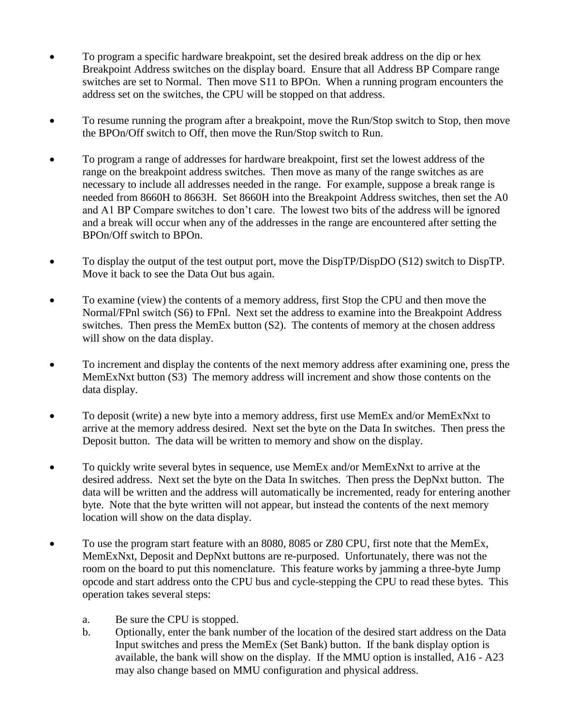- To program a specific hardware breakpoint, set the desired break address on the dip or hex Breakpoint Address switches on the display board. Ensure that all Address BP Compare range switches are set to Normal. Then move S11 to BPOn. When a running program encounters the address set on the switches, the CPU will be stopped on that address.
- To resume running the program after a breakpoint, move the Run/Stop switch to Stop, then move the BPOn/Off switch to Off, then move the Run/Stop switch to Run.
- To program a range of addresses for hardware breakpoint, first set the lowest address of the range on the breakpoint address switches. Then move as many of the range switches as are necessary to include all addresses needed in the range. For example, suppose a break range is needed from 8660H to 8663H. Set 8660H into the Breakpoint Address switches, then set the A0 and A1 BP Compare switches to don't care. The lowest two bits of the address will be ignored and a break will occur when any of the addresses in the range are encountered after setting the BPOn/Off switch to BPOn.
- To display the output of the test output port, move the DispTP/DispDO (S12) switch to DispTP. Move it back to see the Data Out bus again.
- To examine (view) the contents of a memory address, first Stop the CPU and then move the Normal/FPnl switch (S6) to FPnl. Next set the address to examine into the Breakpoint Address switches. Then press the MemEx button (S2). The contents of memory at the chosen address will show on the data display.
- To increment and display the contents of the next memory address after examining one, press the MemExNxt button (S3) The memory address will increment and show those contents on the data display.
- To deposit (write) a new byte into a memory address, first use MemEx and/or MemExNxt to arrive at the memory address desired. Next set the byte on the Data In switches. Then press the Deposit button. The data will be written to memory and show on the display.
- To quickly write several bytes in sequence, use MemEx and/or MemExNxt to arrive at the desired address. Next set the byte on the Data In switches. Then press the DepNxt button. The data will be written and the address will automatically be incremented, ready for entering another byte. Note that the byte written will not appear, but instead the contents of the next memory location will show on the data display.
- To use the program start feature with an 8080, 8085 or Z80 CPU, first note that the MemEx, MemExNxt, Deposit and DepNxt buttons are re-purposed. Unfortunately, there was not the room on the board to put this nomenclature. This feature works by jamming a three-byte Jump opcode and start address onto the CPU bus and cycle-stepping the CPU to read these bytes. This operation takes several steps:
	- a. Be sure the CPU is stopped.
	- b. Optionally, enter the bank number of the location of the desired start address on the Data Input switches and press the MemEx (Set Bank) button. If the bank display option is available, the bank will show on the display. If the MMU option is installed, A16 - A23 may also change based on MMU configuration and physical address.